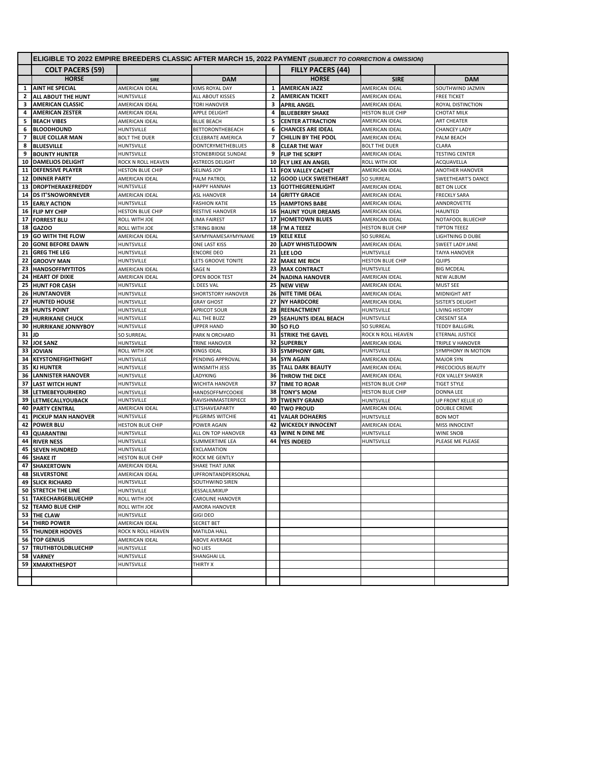|      | ELIGIBLE TO 2022 EMPIRE BREEDERS CLASSIC AFTER MARCH 15, 2022 PAYMENT (SUBJECT TO CORRECTION & OMISSION) |                         |                           |                          |                             |                         |                         |  |
|------|----------------------------------------------------------------------------------------------------------|-------------------------|---------------------------|--------------------------|-----------------------------|-------------------------|-------------------------|--|
|      | <b>COLT PACERS (59)</b>                                                                                  |                         |                           |                          | <b>FILLY PACERS (44)</b>    |                         |                         |  |
|      | <b>HORSE</b>                                                                                             | <b>SIRE</b>             | <b>DAM</b>                |                          | <b>HORSE</b>                | <b>SIRE</b>             | <b>DAM</b>              |  |
| 1    | <b>AINT HE SPECIAL</b>                                                                                   | AMERICAN IDEAL          | <b>KIMS ROYAL DAY</b>     | 1                        | <b>AMERICAN JAZZ</b>        | AMERICAN IDEAL          | SOUTHWIND JAZMIN        |  |
| 2    | ALL ABOUT THE HUNT                                                                                       | <b>HUNTSVILLE</b>       | <b>ALL ABOUT KISSES</b>   | $\mathbf{z}$             | <b>AMERICAN TICKET</b>      | AMERICAN IDEAL          | <b>FREE TICKET</b>      |  |
| 3    | <b>AMERICAN CLASSIC</b>                                                                                  | AMERICAN IDEAL          | <b>TORI HANOVER</b>       | 3                        | <b>APRIL ANGEL</b>          | AMERICAN IDEAL          | ROYAL DISTINCTION       |  |
| 4    | <b>AMERICAN ZESTER</b>                                                                                   | AMERICAN IDEAL          | APPLE DELIGHT             | 4                        | <b>BLUEBERRY SHAKE</b>      | <b>HESTON BLUE CHIP</b> | <b>CHOTAT MILK</b>      |  |
| 5    | <b>BEACH VIBES</b>                                                                                       | AMERICAN IDEAL          | <b>BLUE BEACH</b>         | 5                        | <b>CENTER ATTRACTION</b>    | AMERICAN IDEAL          | ART CHEATER             |  |
| 6    | <b>BLOODHOUND</b>                                                                                        | HUNTSVILLE              | BETTORONTHEBEACH          | 6                        | <b>CHANCES ARE IDEAL</b>    | AMERICAN IDEAL          | <b>CHANCEY LADY</b>     |  |
| 7    | <b>BLUE COLLAR MAN</b>                                                                                   | <b>BOLT THE DUER</b>    | CELEBRATE AMERICA         | $\overline{\phantom{a}}$ | <b>CHILLIN BY THE POOL</b>  | AMERICAN IDEAL          | PALM BEACH              |  |
| 8    | <b>BLUESVILLE</b>                                                                                        | HUNTSVILLE              | <b>DONTCRYMETHEBLUES</b>  | 8                        | <b>CLEAR THE WAY</b>        | <b>BOLT THE DUER</b>    | CLARA                   |  |
| 9    | <b>BOUNTY HUNTER</b>                                                                                     | <b>HUNTSVILLE</b>       | STONEBRIDGE SUNDAE        | 9                        | <b>FLIP THE SCRIPT</b>      | AMERICAN IDEAL          | <b>TESTING CENTER</b>   |  |
| 10   | <b>DAMELIOS DELIGHT</b>                                                                                  | ROCK N ROLL HEAVEN      | <b>ASTREOS DELIGHT</b>    |                          | 10 FLY LIKE AN ANGEL        | ROLL WITH JOE           | ACQUAVELLA              |  |
|      | <b>11 DEFENSIVE PLAYER</b>                                                                               | <b>HESTON BLUE CHIP</b> | SELINAS JOY               |                          | 11 FOX VALLEY CACHET        | AMERICAN IDEAL          | ANOTHER HANOVER         |  |
| 12   | <b>DINNER PARTY</b>                                                                                      | AMERICAN IDEAL          | PALM PATROL               |                          | 12 GOOD LUCK SWEETHEART     | <b>SO SURREAL</b>       | SWEETHEART'S DANCE      |  |
| 13   | <b>DROPTHERAKEFREDDY</b>                                                                                 | HUNTSVILLE              | <b>HAPPY HANNAH</b>       | 13                       | <b>GOTTHEGREENLIGHT</b>     | AMERICAN IDEAL          | <b>BET ON LUCK</b>      |  |
|      | <b>14 DS IT'SNOWORNEVER</b>                                                                              | AMERICAN IDEAL          | <b>ASL HANOVER</b>        |                          | <b>14 GRITTY GRACIE</b>     | AMERICAN IDEAL          | <b>FRECKLY SARA</b>     |  |
| 15   | <b>EARLY ACTION</b>                                                                                      | HUNTSVILLE              | <b>FASHION KATIE</b>      |                          | <b>15 HAMPTONS BABE</b>     | AMERICAN IDEAL          | ANNDROVETTE             |  |
|      | 16 FLIP MY CHIP                                                                                          | <b>HESTON BLUE CHIP</b> | <b>RESTIVE HANOVER</b>    |                          | <b>16 HAUNT YOUR DREAMS</b> | AMERICAN IDEAL          | <b>HAUNTED</b>          |  |
| 17   | <b>FORREST BLU</b>                                                                                       | ROLL WITH JOE           | <b>LIMA FAIREST</b>       |                          | 17 HOMETOWN BLUES           | AMERICAN IDEAL          | NOTAFOOL BLUECHIP       |  |
| 18   | <b>GAZOO</b>                                                                                             | ROLL WITH JOE           | STRING BIKINI             |                          | 18 I'M A TEEEZ              | <b>HESTON BLUE CHIP</b> | <b>TIPTON TEEEZ</b>     |  |
| 19   | <b>GO WITH THE FLOW</b>                                                                                  | AMERICAN IDEAL          | SAYMYNAMESAYMYNAME        |                          | 19 KELE KELE                | SO SURREAL              | <b>LIGHTNING D DUBE</b> |  |
| 20   | <b>GONE BEFORE DAWN</b>                                                                                  | HUNTSVILLE              | ONE LAST KISS             | 20                       | <b>LADY WHISTLEDOWN</b>     | AMERICAN IDEAL          | <b>SWEET LADY JANE</b>  |  |
|      | 21 GREG THE LEG                                                                                          | HUNTSVILLE              | <b>ENCORE DEO</b>         |                          | <b>21 LEE LOO</b>           | HUNTSVILLE              | <b>TAIYA HANOVER</b>    |  |
| 22   | <b>GROOVY MAN</b>                                                                                        | HUNTSVILLE              | LETS GROOVE TONITE        |                          | 22 MAKE ME RICH             | HESTON BLUE CHIP        | QUIPS                   |  |
|      | 23 HANDSOFFMYTITOS                                                                                       | AMERICAN IDEAL          | SAGE N                    | 23                       | <b>MAX CONTRACT</b>         | HUNTSVILLE              | <b>BIG MCDEAL</b>       |  |
|      | <b>24 HEART OF DIXIE</b>                                                                                 | AMERICAN IDEAL          | <b>OPEN BOOK TEST</b>     |                          | <b>24 NADINA HANOVER</b>    | AMERICAN IDEAL          | <b>NEW ALBUM</b>        |  |
| 25   | <b>HUNT FOR CASH</b>                                                                                     | HUNTSVILLE              | L DEES VAL                |                          | 25 NEW VIEW                 | AMERICAN IDEAL          | <b>MUST SEE</b>         |  |
| 26   | <b>HUNTANOVER</b>                                                                                        | HUNTSVILLE              | <b>SHORTSTORY HANOVER</b> |                          | 26 NITE TIME DEAL           | AMERICAN IDEAL          | MIDNIGHT ART            |  |
| 27   | <b>HUNTED HOUSE</b>                                                                                      | HUNTSVILLE              | <b>GRAY GHOST</b>         |                          | 27 NY HARDCORE              | AMERICAN IDEAL          | SISTER'S DELIGHT        |  |
| 28   | <b>HUNTS POINT</b>                                                                                       | HUNTSVILLE              | <b>APRICOT SOUR</b>       |                          | 28 REENACTMENT              | HUNTSVILLE              | <b>LIVING HISTORY</b>   |  |
| 29   | <b>HURRIKANE CHUCK</b>                                                                                   | HUNTSVILLE              | ALL THE BUZZ              | 29                       | <b>SEAHUNTS IDEAL BEACH</b> | HUNTSVILLE              | <b>CRESENT SEA</b>      |  |
| 30   | <b>HURRIKANE JONNYBOY</b>                                                                                | HUNTSVILLE              | <b>UPPER HAND</b>         |                          | 30 SO FLO                   | <b>SO SURREAL</b>       | <b>TEDDY BALLGIRL</b>   |  |
| 31   | JD                                                                                                       | <b>SO SURREAL</b>       | PARK N ORCHARD            |                          | <b>31 STRIKE THE GAVEL</b>  | ROCK N ROLL HEAVEN      | ETERNAL JUSTICE         |  |
| 32 I | <b>JOE SANZ</b>                                                                                          | <b>HUNTSVILLE</b>       | TRINE HANOVER             |                          | 32 SUPERBLY                 | AMERICAN IDEAL          | TRIPLE V HANOVER        |  |
| 33   | <b>JOVIAN</b>                                                                                            | ROLL WITH JOE           | <b>KINGS IDEAL</b>        |                          | 33 SYMPHONY GIRL            | HUNTSVILLE              | SYMPHONY IN MOTION      |  |
| 34   | <b>KEYSTONEFIGHTNIGHT</b>                                                                                | HUNTSVILLE              | PENDING APPROVAL          |                          | 34 SYN AGAIN                | AMERICAN IDEAL          | <b>MAJOR SYN</b>        |  |
|      | 35 KJ HUNTER                                                                                             | HUNTSVILLE              | WINSMITH JESS             | 35 <sub>1</sub>          | <b>TALL DARK BEAUTY</b>     | AMERICAN IDEAL          | PRECOCIOUS BEAUTY       |  |
| 36   | <b>LANNISTER HANOVER</b>                                                                                 | HUNTSVILLE              | LADYKING                  | 36 <sup>1</sup>          | THROW THE DICE              | AMERICAN IDEAL          | FOX VALLEY SHAKER       |  |
| 37   | <b>LAST WITCH HUNT</b>                                                                                   | HUNTSVILLE              | <b>WICHITA HANOVER</b>    | 37                       | <b>TIME TO ROAR</b>         | HESTON BLUE CHIP        | <b>TIGET STYLE</b>      |  |
| 38   | LETMEBEYOURHERO                                                                                          | <b>HUNTSVILLE</b>       | <b>HANDSOFFMYCOOKIE</b>   | 38                       | <b>TONY'S MOM</b>           | HESTON BLUE CHIP        | DONNA LEE               |  |
| 39   | LETMECALLYOUBACK                                                                                         | HUNTSVILLE              | RAVISHNMASTERPIECE        |                          | <b>39 TWENTY GRAND</b>      | HUNTSVILLE              | UP FRONT KELLIE JO      |  |
| 40   | <b>PARTY CENTRAL</b>                                                                                     | AMERICAN IDEAL          | LETSHAVEAPARTY            |                          | 40 TWO PROUD                | AMERICAN IDEAL          | <b>DOUBLE CREME</b>     |  |
| 41   | PICKUP MAN HANOVER                                                                                       | <b>HUNTSVILLE</b>       | PILGRIMS WITCHIE          | 41                       | <b>VALAR DOHAERIS</b>       | HUNTSVILLE              | <b>BON MOT</b>          |  |
| 42   | <b>POWER BLU</b>                                                                                         | HESTON BLUE CHIP        | <b>POWER AGAIN</b>        | 42                       | <b>WICKEDLY INNOCENT</b>    | AMERICAN IDEAL          | MISS INNOCENT           |  |
| 43   | <b>QUARANTINI</b>                                                                                        | HUNTSVILLE              | ALL ON TOP HANOVER        |                          | 43 WINE N DINE ME           | <b>HUNTSVILLE</b>       | WINE SNOB               |  |
| 44   | <b>RIVER NESS</b>                                                                                        | HUNTSVILLE              | SUMMERTIME LEA            | 44                       | <b>YES INDEED</b>           | HUNTSVILLE              | PLEASE ME PLEASE        |  |
| 45   | <b>SEVEN HUNDRED</b>                                                                                     | HUNTSVILLE              | <b>EXCLAMATION</b>        |                          |                             |                         |                         |  |
|      | 46 SHAKE IT                                                                                              | <b>HESTON BLUE CHIP</b> | ROCK ME GENTLY            |                          |                             |                         |                         |  |
| 47   | <b>SHAKERTOWN</b>                                                                                        | AMERICAN IDEAL          | <b>SHAKE THAT JUNK</b>    |                          |                             |                         |                         |  |
| 48   | <b>SILVERSTONE</b>                                                                                       | AMERICAN IDEAL          | UPFRONTANDPERSONAL        |                          |                             |                         |                         |  |
|      | <b>49 SLICK RICHARD</b>                                                                                  | HUNTSVILLE              | SOUTHWIND SIREN           |                          |                             |                         |                         |  |
|      | 50 STRETCH THE LINE                                                                                      | HUNTSVILLE              | JESSALILMIXUP             |                          |                             |                         |                         |  |
|      | 51 TAKECHARGEBLUECHIP                                                                                    | ROLL WITH JOE           | <b>CAROLINE HANOVER</b>   |                          |                             |                         |                         |  |
|      | 52 TEAMO BLUE CHIP                                                                                       | ROLL WITH JOE           | AMORA HANOVER             |                          |                             |                         |                         |  |
|      | 53 THE CLAW                                                                                              | HUNTSVILLE              | <b>GIGI DEO</b>           |                          |                             |                         |                         |  |
|      | <b>54 THIRD POWER</b>                                                                                    | AMERICAN IDEAL          | SECRET BET                |                          |                             |                         |                         |  |
|      | 55 THUNDER HOOVES                                                                                        | ROCK N ROLL HEAVEN      | <b>MATILDA HALL</b>       |                          |                             |                         |                         |  |
|      | 56 TOP GENIUS                                                                                            | AMERICAN IDEAL          | ABOVE AVERAGE             |                          |                             |                         |                         |  |
|      | 57 TRUTHBTOLDBLUECHIP                                                                                    | <b>HUNTSVILLE</b>       | NO LIES                   |                          |                             |                         |                         |  |
|      | 58 VARNEY                                                                                                | <b>HUNTSVILLE</b>       | <b>SHANGHAI LIL</b>       |                          |                             |                         |                         |  |
|      | 59 XMARXTHESPOT                                                                                          | HUNTSVILLE              | THIRTY X                  |                          |                             |                         |                         |  |
|      |                                                                                                          |                         |                           |                          |                             |                         |                         |  |
|      |                                                                                                          |                         |                           |                          |                             |                         |                         |  |